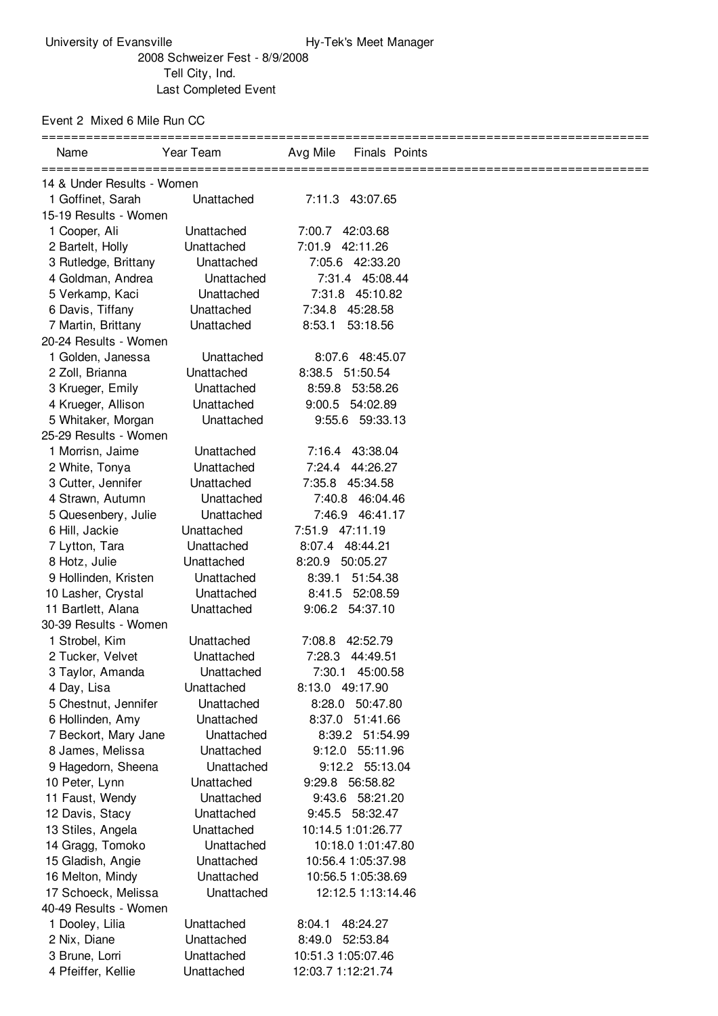Event 2 Mixed 6 Mile Run CC

| Name                                         | Year Team                | Avg Mile<br>Finals Points                |  |  |  |
|----------------------------------------------|--------------------------|------------------------------------------|--|--|--|
| 14 & Under Results - Women                   |                          |                                          |  |  |  |
| 1 Goffinet, Sarah                            | Unattached               | 7:11.3 43:07.65                          |  |  |  |
| 15-19 Results - Women                        |                          |                                          |  |  |  |
| 1 Cooper, Ali                                | Unattached               | 7:00.7 42:03.68                          |  |  |  |
| 2 Bartelt, Holly                             | Unattached               | 7:01.9 42:11.26                          |  |  |  |
| 3 Rutledge, Brittany                         | Unattached               | 7:05.6 42:33.20                          |  |  |  |
| 4 Goldman, Andrea                            | Unattached               | 7:31.4 45:08.44                          |  |  |  |
| 5 Verkamp, Kaci                              | Unattached               | 7:31.8 45:10.82                          |  |  |  |
| 6 Davis, Tiffany                             | Unattached               | 7:34.8<br>45:28.58                       |  |  |  |
| 7 Martin, Brittany                           | Unattached               | 8:53.1<br>53:18.56                       |  |  |  |
| 20-24 Results - Women                        |                          |                                          |  |  |  |
| 1 Golden, Janessa                            | Unattached               | 8:07.6 48:45.07                          |  |  |  |
| 2 Zoll, Brianna                              | Unattached               | 8:38.5 51:50.54                          |  |  |  |
| 3 Krueger, Emily                             | Unattached               | 8:59.8 53:58.26                          |  |  |  |
| 4 Krueger, Allison                           | Unattached               | 9:00.5 54:02.89                          |  |  |  |
| 5 Whitaker, Morgan                           | Unattached               | 9:55.6 59:33.13                          |  |  |  |
| 25-29 Results - Women                        |                          |                                          |  |  |  |
| 1 Morrisn, Jaime                             | Unattached               | 7:16.4 43:38.04                          |  |  |  |
| 2 White, Tonya                               | Unattached               | 44:26.27<br>7:24.4                       |  |  |  |
| 3 Cutter, Jennifer                           | Unattached               | 7:35.8 45:34.58                          |  |  |  |
| 4 Strawn, Autumn                             | Unattached               | 7:40.8 46:04.46                          |  |  |  |
| 5 Quesenbery, Julie                          | Unattached               | 7:46.9 46:41.17                          |  |  |  |
| 6 Hill, Jackie                               | Unattached               | 7:51.9 47:11.19                          |  |  |  |
| 7 Lytton, Tara                               | Unattached               | 48:44.21<br>8:07.4                       |  |  |  |
| 8 Hotz, Julie                                | Unattached               | 8:20.9<br>50:05.27                       |  |  |  |
| 9 Hollinden, Kristen                         | Unattached               | 51:54.38<br>8:39.1                       |  |  |  |
| 10 Lasher, Crystal                           | Unattached               | 8:41.5 52:08.59                          |  |  |  |
| 11 Bartlett, Alana                           | Unattached               | 9:06.2 54:37.10                          |  |  |  |
| 30-39 Results - Women                        |                          |                                          |  |  |  |
| 1 Strobel, Kim                               | Unattached               | 7:08.8<br>42:52.79                       |  |  |  |
| 2 Tucker, Velvet                             | Unattached               | 7:28.3<br>44:49.51                       |  |  |  |
| 3 Taylor, Amanda                             | Unattached               | 7:30.1 45:00.58                          |  |  |  |
| 4 Day, Lisa                                  | Unattached               | 8:13.0 49:17.90                          |  |  |  |
| 5 Chestnut, Jennifer                         | Unattached               | 8:28.0 50:47.80                          |  |  |  |
| 6 Hollinden, Amy                             | Unattached               | 8:37.0<br>51:41.66                       |  |  |  |
| 7 Beckort, Mary Jane                         | Unattached               | 8:39.2 51:54.99                          |  |  |  |
| 8 James, Melissa                             | Unattached               | 9:12.0 55:11.96                          |  |  |  |
| 9 Hagedorn, Sheena                           | Unattached               | 9:12.2 55:13.04                          |  |  |  |
| 10 Peter, Lynn                               | Unattached               | 9:29.8 56:58.82                          |  |  |  |
| 11 Faust, Wendy                              | Unattached               | 9:43.6 58:21.20                          |  |  |  |
| 12 Davis, Stacy<br>13 Stiles, Angela         | Unattached               | 9:45.5 58:32.47                          |  |  |  |
|                                              | Unattached<br>Unattached | 10:14.5 1:01:26.77<br>10:18.0 1:01:47.80 |  |  |  |
| 14 Gragg, Tomoko                             | Unattached               |                                          |  |  |  |
| 15 Gladish, Angie                            | Unattached               | 10:56.4 1:05:37.98<br>10:56.5 1:05:38.69 |  |  |  |
| 16 Melton, Mindy                             | Unattached               | 12:12.5 1:13:14.46                       |  |  |  |
| 17 Schoeck, Melissa<br>40-49 Results - Women |                          |                                          |  |  |  |
| 1 Dooley, Lilia                              | Unattached               | 8:04.1<br>48:24.27                       |  |  |  |
| 2 Nix, Diane                                 | Unattached               | 8:49.0<br>52:53.84                       |  |  |  |
| 3 Brune, Lorri                               | Unattached               | 10:51.3 1:05:07.46                       |  |  |  |
| 4 Pfeiffer, Kellie                           | Unattached               | 12:03.7 1:12:21.74                       |  |  |  |
|                                              |                          |                                          |  |  |  |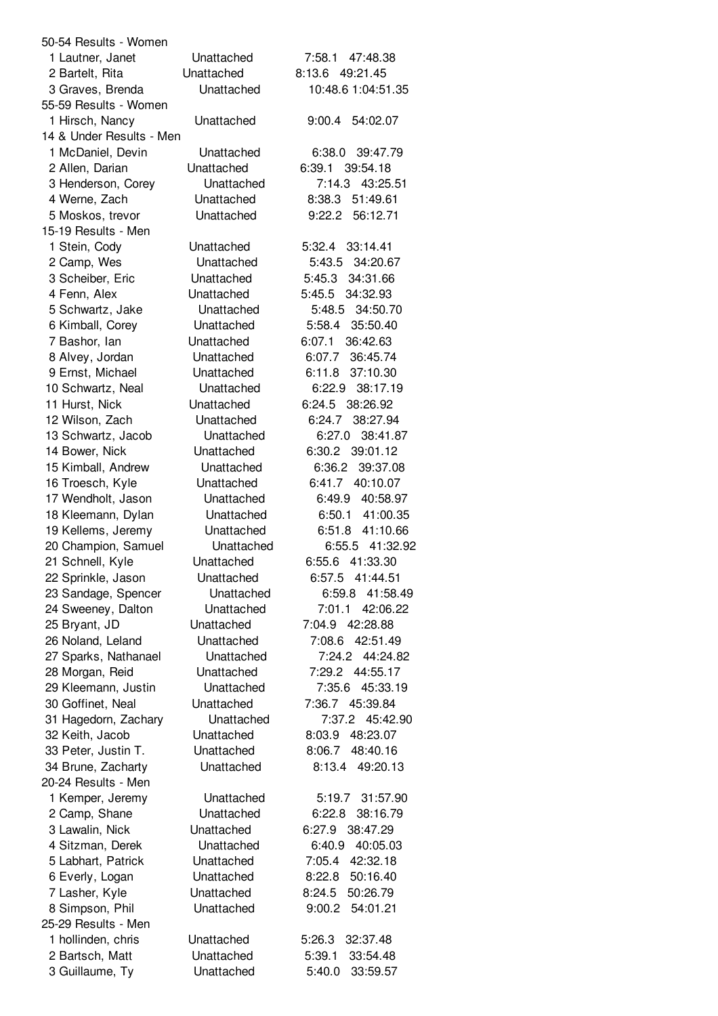| 50-54 Results - Women                |                          |                                          |
|--------------------------------------|--------------------------|------------------------------------------|
| 1 Lautner, Janet                     | Unattached               | 7:58.1 47:48.38                          |
| 2 Bartelt, Rita                      | Unattached               | 8:13.6 49:21.45                          |
| 3 Graves, Brenda                     | Unattached               | 10:48.6 1:04:51.35                       |
| 55-59 Results - Women                |                          |                                          |
| 1 Hirsch, Nancy                      | Unattached               | 9:00.4<br>54:02.07                       |
| 14 & Under Results - Men             |                          |                                          |
| 1 McDaniel, Devin                    | Unattached               | 39:47.79<br>6:38.0                       |
| 2 Allen, Darian                      | Unattached               | 6:39.1<br>39:54.18                       |
| 3 Henderson, Corey                   | Unattached               | 43:25.51<br>7:14.3                       |
| 4 Werne, Zach                        | Unattached               | 8:38.3<br>51:49.61                       |
| 5 Moskos, trevor                     | Unattached               | 9:22.2<br>56:12.71                       |
| 15-19 Results - Men                  |                          |                                          |
| 1 Stein, Cody                        | Unattached               | 5:32.4<br>33:14.41                       |
| 2 Camp, Wes                          | Unattached               | 5:43.5<br>34:20.67                       |
| 3 Scheiber, Eric                     | Unattached               | 5:45.3<br>34:31.66                       |
| 4 Fenn, Alex                         | Unattached               | 5:45.5<br>34:32.93                       |
| 5 Schwartz, Jake                     | Unattached               | 5:48.5<br>34:50.70                       |
| 6 Kimball, Corey                     | Unattached               | 35:50.40<br>5:58.4                       |
| 7 Bashor, Ian                        | Unattached               | 6:07.1<br>36:42.63                       |
| 8 Alvey, Jordan                      | Unattached               | 6:07.7<br>36:45.74                       |
| 9 Ernst, Michael                     | Unattached               | 37:10.30<br>6:11.8                       |
| 10 Schwartz, Neal                    | Unattached               | 38:17.19<br>6:22.9                       |
| 11 Hurst, Nick                       | Unattached               | 6:24.5<br>38:26.92<br>6:24.7<br>38:27.94 |
| 12 Wilson, Zach                      | Unattached<br>Unattached | 6:27.0<br>38:41.87                       |
| 13 Schwartz, Jacob<br>14 Bower, Nick | Unattached               | 39:01.12<br>6:30.2                       |
| 15 Kimball, Andrew                   | Unattached               | 6:36.2<br>39:37.08                       |
| 16 Troesch, Kyle                     | Unattached               | 6:41.7 40:10.07                          |
| 17 Wendholt, Jason                   | Unattached               | 40:58.97<br>6:49.9                       |
| 18 Kleemann, Dylan                   | Unattached               | 6:50.1 41:00.35                          |
| 19 Kellems, Jeremy                   | Unattached               | 6:51.8 41:10.66                          |
| 20 Champion, Samuel                  | Unattached               | 6:55.5 41:32.92                          |
| 21 Schnell, Kyle                     | Unattached               | 6:55.6<br>41:33.30                       |
| 22 Sprinkle, Jason                   | Unattached               | 6:57.5 41:44.51                          |
| 23 Sandage, Spencer                  | Unattached               | 6:59.8 41:58.49                          |
| 24 Sweeney, Dalton                   | Unattached               | 7:01.1<br>42:06.22                       |
| 25 Bryant, JD                        | Unattached               | 7:04.9<br>42:28.88                       |
| 26 Noland, Leland                    | Unattached               | 7:08.6<br>42:51.49                       |
| 27 Sparks, Nathanael                 | Unattached               | 7:24.2<br>44:24.82                       |
| 28 Morgan, Reid                      | Unattached               | 7:29.2 44:55.17                          |
| 29 Kleemann, Justin                  | Unattached               | 7:35.6<br>45:33.19                       |
| 30 Goffinet, Neal                    | Unattached               | 7:36.7 45:39.84                          |
| 31 Hagedorn, Zachary                 | Unattached               | 45:42.90<br>7:37.2                       |
| 32 Keith, Jacob                      | Unattached               | 8:03.9<br>48:23.07                       |
| 33 Peter, Justin T.                  | Unattached               | 8:06.7<br>48:40.16                       |
| 34 Brune, Zacharty                   | Unattached               | 8:13.4<br>49:20.13                       |
| 20-24 Results - Men                  |                          |                                          |
| 1 Kemper, Jeremy                     | Unattached               | 5:19.7 31:57.90                          |
| 2 Camp, Shane                        | Unattached               | 38:16.79<br>6:22.8                       |
| 3 Lawalin, Nick                      | Unattached               | 6:27.9<br>38:47.29                       |
| 4 Sitzman, Derek                     | Unattached               | 6:40.9<br>40:05.03                       |
| 5 Labhart, Patrick                   | Unattached               | 7:05.4 42:32.18                          |
| 6 Everly, Logan                      | Unattached               | 8:22.8<br>50:16.40                       |
| 7 Lasher, Kyle                       | Unattached               | 50:26.79<br>8:24.5                       |
| 8 Simpson, Phil                      | Unattached               | 54:01.21<br>9:00.2                       |
| 25-29 Results - Men                  |                          |                                          |
| 1 hollinden, chris                   | Unattached               | 5:26.3<br>32:37.48                       |
| 2 Bartsch, Matt                      | Unattached               | 5:39.1<br>33:54.48                       |
| 3 Guillaume, Ty                      | Unattached               | 5:40.0<br>33:59.57                       |